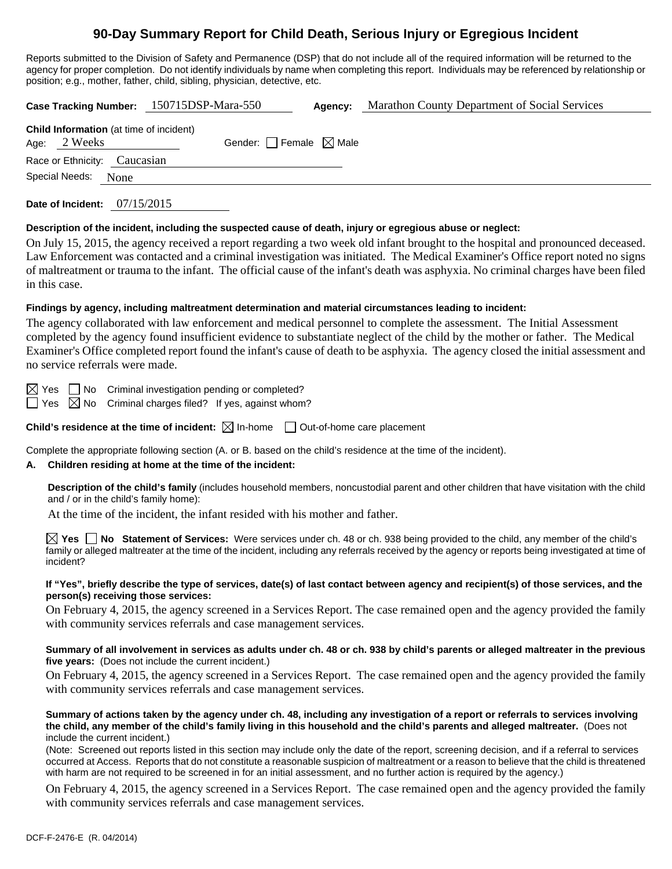# **90-Day Summary Report for Child Death, Serious Injury or Egregious Incident**

Reports submitted to the Division of Safety and Permanence (DSP) that do not include all of the required information will be returned to the agency for proper completion. Do not identify individuals by name when completing this report. Individuals may be referenced by relationship or position; e.g., mother, father, child, sibling, physician, detective, etc.

**Case Tracking Number:** 150715DSP-Mara-550 **Agency:** Marathon County Department of Social Services **Child Information** (at time of incident) Age:  $2$  Weeks Gender: Female  $\boxtimes$  Male Race or Ethnicity: Caucasian

Special Needs: None

**Date of Incident:** 07/15/2015

#### **Description of the incident, including the suspected cause of death, injury or egregious abuse or neglect:**

On July 15, 2015, the agency received a report regarding a two week old infant brought to the hospital and pronounced deceased. Law Enforcement was contacted and a criminal investigation was initiated. The Medical Examiner's Office report noted no signs of maltreatment or trauma to the infant. The official cause of the infant's death was asphyxia. No criminal charges have been filed in this case.

## **Findings by agency, including maltreatment determination and material circumstances leading to incident:**

The agency collaborated with law enforcement and medical personnel to complete the assessment. The Initial Assessment completed by the agency found insufficient evidence to substantiate neglect of the child by the mother or father. The Medical Examiner's Office completed report found the infant's cause of death to be asphyxia. The agency closed the initial assessment and no service referrals were made.

 $\boxtimes$  Yes  $\Box$  No Criminal investigation pending or completed?

Yes  $\boxtimes$  No Criminal charges filed? If yes, against whom?

**Child's residence at the time of incident:**  $\boxtimes$  In-home  $\Box$  Out-of-home care placement

Complete the appropriate following section (A. or B. based on the child's residence at the time of the incident).

# **A. Children residing at home at the time of the incident:**

**Description of the child's family** (includes household members, noncustodial parent and other children that have visitation with the child and / or in the child's family home):

At the time of the incident, the infant resided with his mother and father.

**Yes No Statement of Services:** Were services under ch. 48 or ch. 938 being provided to the child, any member of the child's family or alleged maltreater at the time of the incident, including any referrals received by the agency or reports being investigated at time of incident?

#### **If "Yes", briefly describe the type of services, date(s) of last contact between agency and recipient(s) of those services, and the person(s) receiving those services:**

On February 4, 2015, the agency screened in a Services Report. The case remained open and the agency provided the family with community services referrals and case management services.

#### **Summary of all involvement in services as adults under ch. 48 or ch. 938 by child's parents or alleged maltreater in the previous five years:** (Does not include the current incident.)

On February 4, 2015, the agency screened in a Services Report. The case remained open and the agency provided the family with community services referrals and case management services.

#### **Summary of actions taken by the agency under ch. 48, including any investigation of a report or referrals to services involving the child, any member of the child's family living in this household and the child's parents and alleged maltreater.** (Does not include the current incident.)

(Note: Screened out reports listed in this section may include only the date of the report, screening decision, and if a referral to services occurred at Access. Reports that do not constitute a reasonable suspicion of maltreatment or a reason to believe that the child is threatened with harm are not required to be screened in for an initial assessment, and no further action is required by the agency.)

On February 4, 2015, the agency screened in a Services Report. The case remained open and the agency provided the family with community services referrals and case management services.